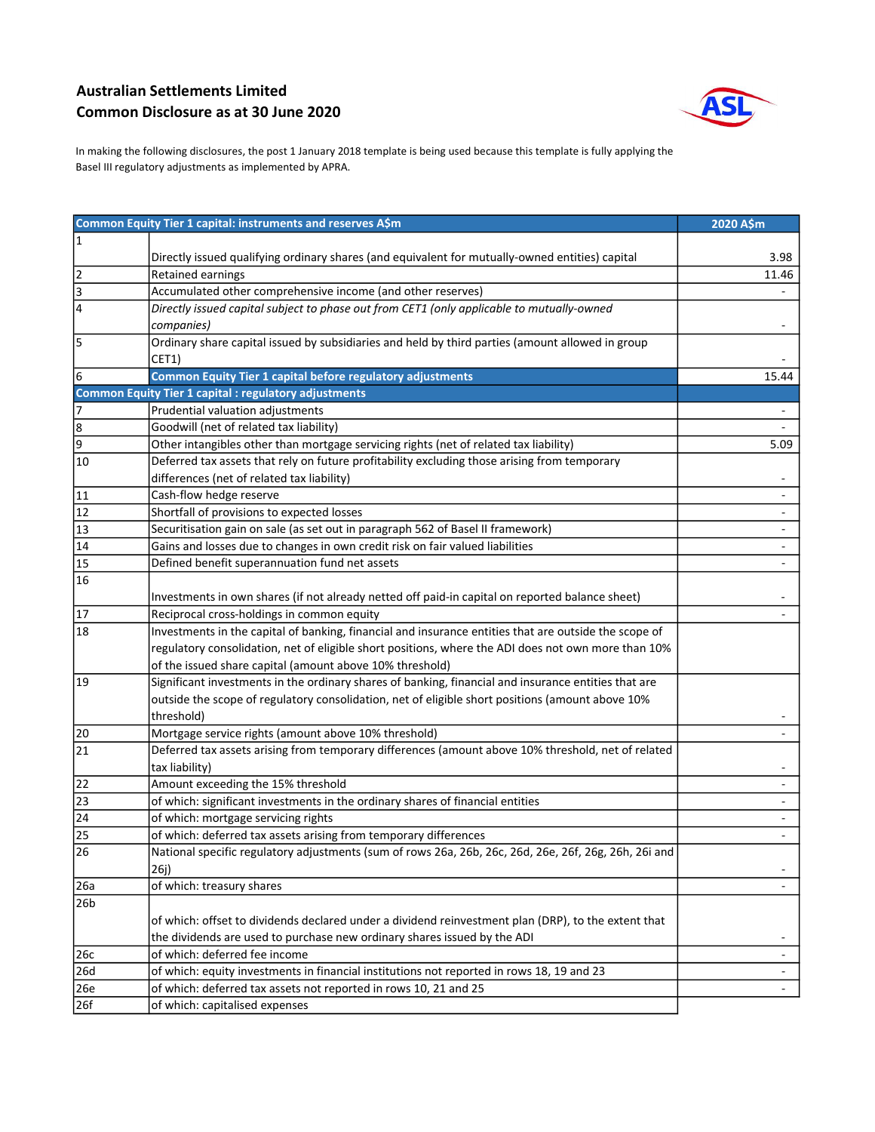## Australian Settlements Limited Common Disclosure as at 30 June 2020



In making the following disclosures, the post 1 January 2018 template is being used because this template is fully applying the Basel III regulatory adjustments as implemented by APRA.

|                 | Common Equity Tier 1 capital: instruments and reserves A\$m                                           | 2020 A\$m |
|-----------------|-------------------------------------------------------------------------------------------------------|-----------|
| 11              |                                                                                                       |           |
|                 | Directly issued qualifying ordinary shares (and equivalent for mutually-owned entities) capital       | 3.98      |
| $\overline{2}$  | Retained earnings                                                                                     | 11.46     |
| $\vert$ 3       | Accumulated other comprehensive income (and other reserves)                                           |           |
| 4               | Directly issued capital subject to phase out from CET1 (only applicable to mutually-owned             |           |
|                 | companies)                                                                                            |           |
| 5               | Ordinary share capital issued by subsidiaries and held by third parties (amount allowed in group      |           |
|                 | CET1)                                                                                                 |           |
| 6               | <b>Common Equity Tier 1 capital before regulatory adjustments</b>                                     | 15.44     |
|                 | <b>Common Equity Tier 1 capital : regulatory adjustments</b>                                          |           |
| 7               | Prudential valuation adjustments                                                                      |           |
| 8               | Goodwill (net of related tax liability)                                                               |           |
| 9               | Other intangibles other than mortgage servicing rights (net of related tax liability)                 | 5.09      |
| 10              | Deferred tax assets that rely on future profitability excluding those arising from temporary          |           |
|                 | differences (net of related tax liability)                                                            |           |
| 11              | Cash-flow hedge reserve                                                                               |           |
| 12              | Shortfall of provisions to expected losses                                                            |           |
| 13              | Securitisation gain on sale (as set out in paragraph 562 of Basel II framework)                       |           |
| 14              | Gains and losses due to changes in own credit risk on fair valued liabilities                         |           |
| 15              | Defined benefit superannuation fund net assets                                                        |           |
| 16              |                                                                                                       |           |
|                 | Investments in own shares (if not already netted off paid-in capital on reported balance sheet)       |           |
| 17              | Reciprocal cross-holdings in common equity                                                            |           |
| 18              | Investments in the capital of banking, financial and insurance entities that are outside the scope of |           |
|                 | regulatory consolidation, net of eligible short positions, where the ADI does not own more than 10%   |           |
|                 | of the issued share capital (amount above 10% threshold)                                              |           |
| 19              | Significant investments in the ordinary shares of banking, financial and insurance entities that are  |           |
|                 | outside the scope of regulatory consolidation, net of eligible short positions (amount above 10%      |           |
|                 | threshold)                                                                                            |           |
| 20              | Mortgage service rights (amount above 10% threshold)                                                  |           |
| 21              | Deferred tax assets arising from temporary differences (amount above 10% threshold, net of related    |           |
|                 | tax liability)                                                                                        |           |
| 22              | Amount exceeding the 15% threshold                                                                    |           |
| 23              | of which: significant investments in the ordinary shares of financial entities                        |           |
| 24              | of which: mortgage servicing rights                                                                   |           |
| $\overline{25}$ | of which: deferred tax assets arising from temporary differences                                      |           |
| $\overline{26}$ | National specific regulatory adjustments (sum of rows 26a, 26b, 26c, 26d, 26e, 26f, 26g, 26h, 26i and |           |
|                 | 26j)                                                                                                  |           |
| 26a             | of which: treasury shares                                                                             |           |
| 26b             |                                                                                                       |           |
|                 | of which: offset to dividends declared under a dividend reinvestment plan (DRP), to the extent that   |           |
|                 | the dividends are used to purchase new ordinary shares issued by the ADI                              |           |
| 26c             | of which: deferred fee income                                                                         |           |
| 26d             | of which: equity investments in financial institutions not reported in rows 18, 19 and 23             | ÷.        |
| 26e             | of which: deferred tax assets not reported in rows 10, 21 and 25                                      |           |
| 26f             | of which: capitalised expenses                                                                        |           |
|                 |                                                                                                       |           |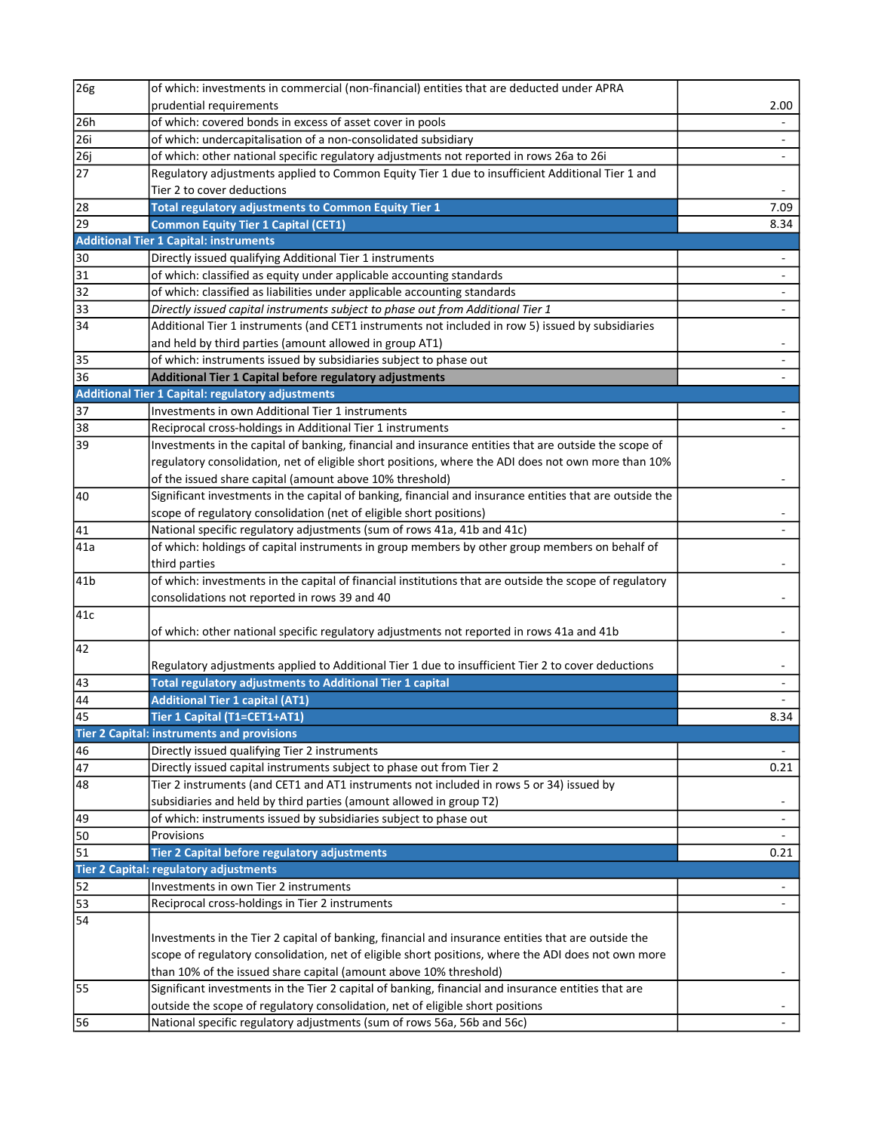| 26g                                                                         | of which: investments in commercial (non-financial) entities that are deducted under APRA                |                          |
|-----------------------------------------------------------------------------|----------------------------------------------------------------------------------------------------------|--------------------------|
|                                                                             | prudential requirements                                                                                  | 2.00                     |
| $\overline{26h}$                                                            | of which: covered bonds in excess of asset cover in pools                                                |                          |
| $\overline{26i}$                                                            | of which: undercapitalisation of a non-consolidated subsidiary                                           |                          |
| 26j                                                                         | of which: other national specific regulatory adjustments not reported in rows 26a to 26i                 |                          |
| $\overline{27}$                                                             | Regulatory adjustments applied to Common Equity Tier 1 due to insufficient Additional Tier 1 and         |                          |
|                                                                             | Tier 2 to cover deductions                                                                               |                          |
| $\overline{28}$                                                             | Total regulatory adjustments to Common Equity Tier 1                                                     | 7.09                     |
| $\overline{29}$                                                             | <b>Common Equity Tier 1 Capital (CET1)</b>                                                               | 8.34                     |
|                                                                             | <b>Additional Tier 1 Capital: instruments</b>                                                            |                          |
| 30                                                                          | Directly issued qualifying Additional Tier 1 instruments                                                 |                          |
| $\overline{31}$                                                             | of which: classified as equity under applicable accounting standards                                     |                          |
| $\overline{32}$                                                             | of which: classified as liabilities under applicable accounting standards                                |                          |
| $\overline{33}$                                                             | Directly issued capital instruments subject to phase out from Additional Tier 1                          |                          |
| $\overline{34}$                                                             | Additional Tier 1 instruments (and CET1 instruments not included in row 5) issued by subsidiaries        |                          |
|                                                                             | and held by third parties (amount allowed in group AT1)                                                  |                          |
| $\sqrt{35}$                                                                 | of which: instruments issued by subsidiaries subject to phase out                                        |                          |
| 36                                                                          | Additional Tier 1 Capital before regulatory adjustments                                                  |                          |
|                                                                             | <b>Additional Tier 1 Capital: regulatory adjustments</b>                                                 |                          |
| $\overline{37}$                                                             | Investments in own Additional Tier 1 instruments                                                         |                          |
| 38                                                                          | Reciprocal cross-holdings in Additional Tier 1 instruments                                               |                          |
| $\overline{39}$                                                             | Investments in the capital of banking, financial and insurance entities that are outside the scope of    |                          |
|                                                                             | regulatory consolidation, net of eligible short positions, where the ADI does not own more than 10%      |                          |
|                                                                             | of the issued share capital (amount above 10% threshold)                                                 |                          |
| 40                                                                          | Significant investments in the capital of banking, financial and insurance entities that are outside the |                          |
|                                                                             | scope of regulatory consolidation (net of eligible short positions)                                      |                          |
| $\sqrt{41}$                                                                 | National specific regulatory adjustments (sum of rows 41a, 41b and 41c)                                  | $\blacksquare$           |
| 41a                                                                         | of which: holdings of capital instruments in group members by other group members on behalf of           |                          |
|                                                                             | third parties                                                                                            | $\overline{\phantom{a}}$ |
| $\sqrt{41}b$                                                                | of which: investments in the capital of financial institutions that are outside the scope of regulatory  |                          |
|                                                                             | consolidations not reported in rows 39 and 40                                                            |                          |
| 41c                                                                         |                                                                                                          |                          |
|                                                                             | of which: other national specific regulatory adjustments not reported in rows 41a and 41b                |                          |
| 42                                                                          |                                                                                                          |                          |
|                                                                             | Regulatory adjustments applied to Additional Tier 1 due to insufficient Tier 2 to cover deductions       |                          |
|                                                                             | Total regulatory adjustments to Additional Tier 1 capital                                                |                          |
| $\begin{array}{ c c }\n\hline\n43 \\ \hline\n44 \\ \hline\n45\n\end{array}$ | <b>Additional Tier 1 capital (AT1)</b>                                                                   |                          |
|                                                                             | Tier 1 Capital (T1=CET1+AT1)                                                                             | 8.34                     |
|                                                                             | <b>Tier 2 Capital: instruments and provisions</b>                                                        |                          |
| 46                                                                          | Directly issued qualifying Tier 2 instruments                                                            |                          |
| 47                                                                          | Directly issued capital instruments subject to phase out from Tier 2                                     | 0.21                     |
| 48                                                                          | Tier 2 instruments (and CET1 and AT1 instruments not included in rows 5 or 34) issued by                 |                          |
|                                                                             | subsidiaries and held by third parties (amount allowed in group T2)                                      |                          |
| $\sqrt{49}$                                                                 | of which: instruments issued by subsidiaries subject to phase out                                        | $\overline{\phantom{a}}$ |
| 50                                                                          | Provisions                                                                                               |                          |
| $\overline{51}$                                                             | Tier 2 Capital before regulatory adjustments                                                             | 0.21                     |
|                                                                             | Tier 2 Capital: regulatory adjustments                                                                   |                          |
| 52                                                                          | Investments in own Tier 2 instruments                                                                    |                          |
| 53                                                                          | Reciprocal cross-holdings in Tier 2 instruments                                                          |                          |
| 54                                                                          |                                                                                                          |                          |
|                                                                             | Investments in the Tier 2 capital of banking, financial and insurance entities that are outside the      |                          |
|                                                                             | scope of regulatory consolidation, net of eligible short positions, where the ADI does not own more      |                          |
|                                                                             | than 10% of the issued share capital (amount above 10% threshold)                                        |                          |
| 55                                                                          | Significant investments in the Tier 2 capital of banking, financial and insurance entities that are      |                          |
|                                                                             | outside the scope of regulatory consolidation, net of eligible short positions                           |                          |
| 56                                                                          | National specific regulatory adjustments (sum of rows 56a, 56b and 56c)                                  |                          |
|                                                                             |                                                                                                          |                          |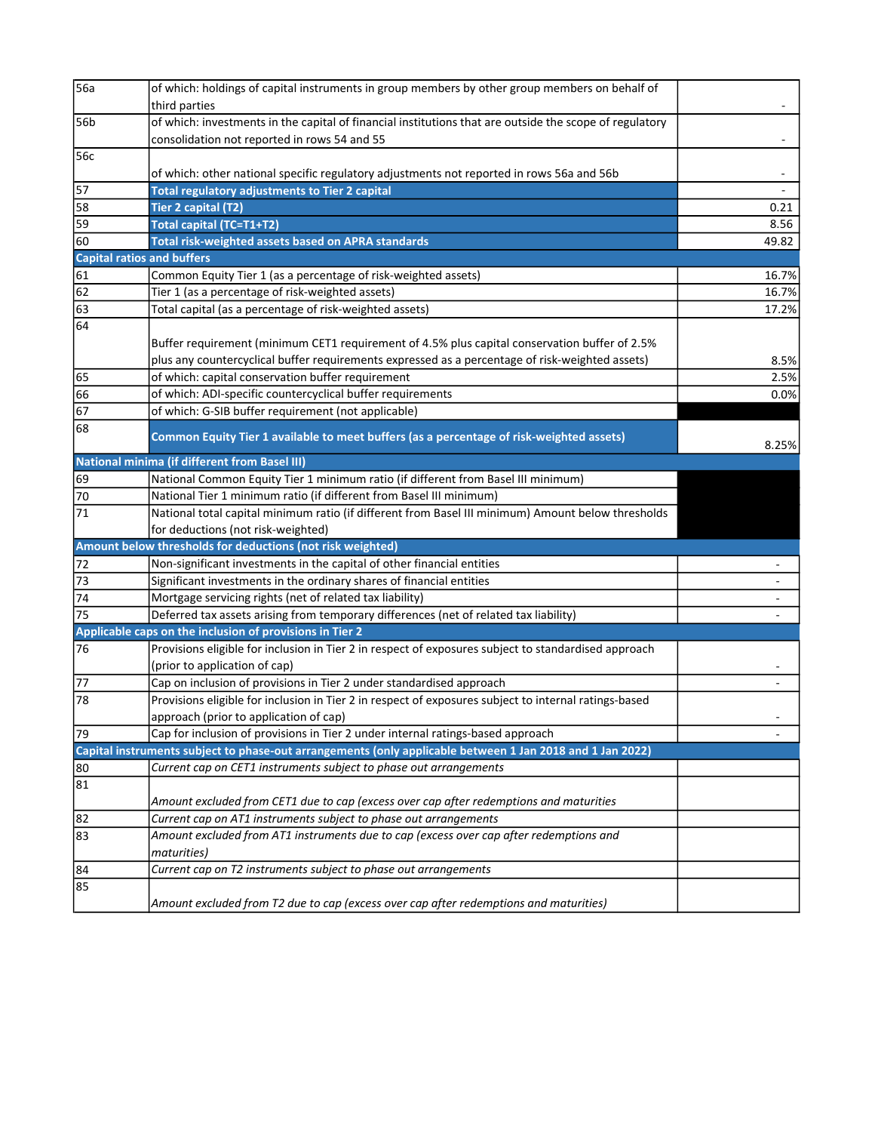| 56a             | of which: holdings of capital instruments in group members by other group members on behalf of            |       |
|-----------------|-----------------------------------------------------------------------------------------------------------|-------|
|                 | third parties                                                                                             |       |
| 56b             | of which: investments in the capital of financial institutions that are outside the scope of regulatory   |       |
|                 | consolidation not reported in rows 54 and 55                                                              |       |
| 56c             |                                                                                                           |       |
|                 | of which: other national specific regulatory adjustments not reported in rows 56a and 56b                 |       |
| $\overline{57}$ | <b>Total regulatory adjustments to Tier 2 capital</b>                                                     |       |
| 58              | Tier 2 capital (T2)                                                                                       | 0.21  |
| 59              | Total capital (TC=T1+T2)                                                                                  | 8.56  |
| 60              | Total risk-weighted assets based on APRA standards                                                        | 49.82 |
|                 | <b>Capital ratios and buffers</b>                                                                         |       |
| 61              | Common Equity Tier 1 (as a percentage of risk-weighted assets)                                            | 16.7% |
| $\overline{62}$ | Tier 1 (as a percentage of risk-weighted assets)                                                          | 16.7% |
| 63              | Total capital (as a percentage of risk-weighted assets)                                                   | 17.2% |
| 64              |                                                                                                           |       |
|                 | Buffer requirement (minimum CET1 requirement of 4.5% plus capital conservation buffer of 2.5%             |       |
|                 | plus any countercyclical buffer requirements expressed as a percentage of risk-weighted assets)           | 8.5%  |
| 65              | of which: capital conservation buffer requirement                                                         | 2.5%  |
| 66              | of which: ADI-specific countercyclical buffer requirements                                                | 0.0%  |
| $\overline{67}$ | of which: G-SIB buffer requirement (not applicable)                                                       |       |
| 68              |                                                                                                           |       |
|                 | Common Equity Tier 1 available to meet buffers (as a percentage of risk-weighted assets)                  | 8.25% |
|                 | <b>National minima (if different from Basel III)</b>                                                      |       |
| 69              | National Common Equity Tier 1 minimum ratio (if different from Basel III minimum)                         |       |
| 70              | National Tier 1 minimum ratio (if different from Basel III minimum)                                       |       |
| $\overline{71}$ | National total capital minimum ratio (if different from Basel III minimum) Amount below thresholds        |       |
|                 | for deductions (not risk-weighted)                                                                        |       |
|                 | Amount below thresholds for deductions (not risk weighted)                                                |       |
| 72              | Non-significant investments in the capital of other financial entities                                    |       |
| $\sqrt{73}$     | Significant investments in the ordinary shares of financial entities                                      |       |
| $\sqrt{74}$     | Mortgage servicing rights (net of related tax liability)                                                  |       |
| $\sqrt{75}$     | Deferred tax assets arising from temporary differences (net of related tax liability)                     |       |
|                 | Applicable caps on the inclusion of provisions in Tier 2                                                  |       |
| 76              | Provisions eligible for inclusion in Tier 2 in respect of exposures subject to standardised approach      |       |
|                 | (prior to application of cap)                                                                             |       |
| 77              | Cap on inclusion of provisions in Tier 2 under standardised approach                                      |       |
| 78              | Provisions eligible for inclusion in Tier 2 in respect of exposures subject to internal ratings-based     |       |
|                 | approach (prior to application of cap)                                                                    |       |
| 79              | Cap for inclusion of provisions in Tier 2 under internal ratings-based approach                           |       |
|                 | Capital instruments subject to phase-out arrangements (only applicable between 1 Jan 2018 and 1 Jan 2022) |       |
| 80              | Current cap on CET1 instruments subject to phase out arrangements                                         |       |
| 81              |                                                                                                           |       |
|                 | Amount excluded from CET1 due to cap (excess over cap after redemptions and maturities                    |       |
| 82              | Current cap on AT1 instruments subject to phase out arrangements                                          |       |
| 83              | Amount excluded from AT1 instruments due to cap (excess over cap after redemptions and                    |       |
|                 | maturities)                                                                                               |       |
| 84              | Current cap on T2 instruments subject to phase out arrangements                                           |       |
| 85              |                                                                                                           |       |
|                 | Amount excluded from T2 due to cap (excess over cap after redemptions and maturities)                     |       |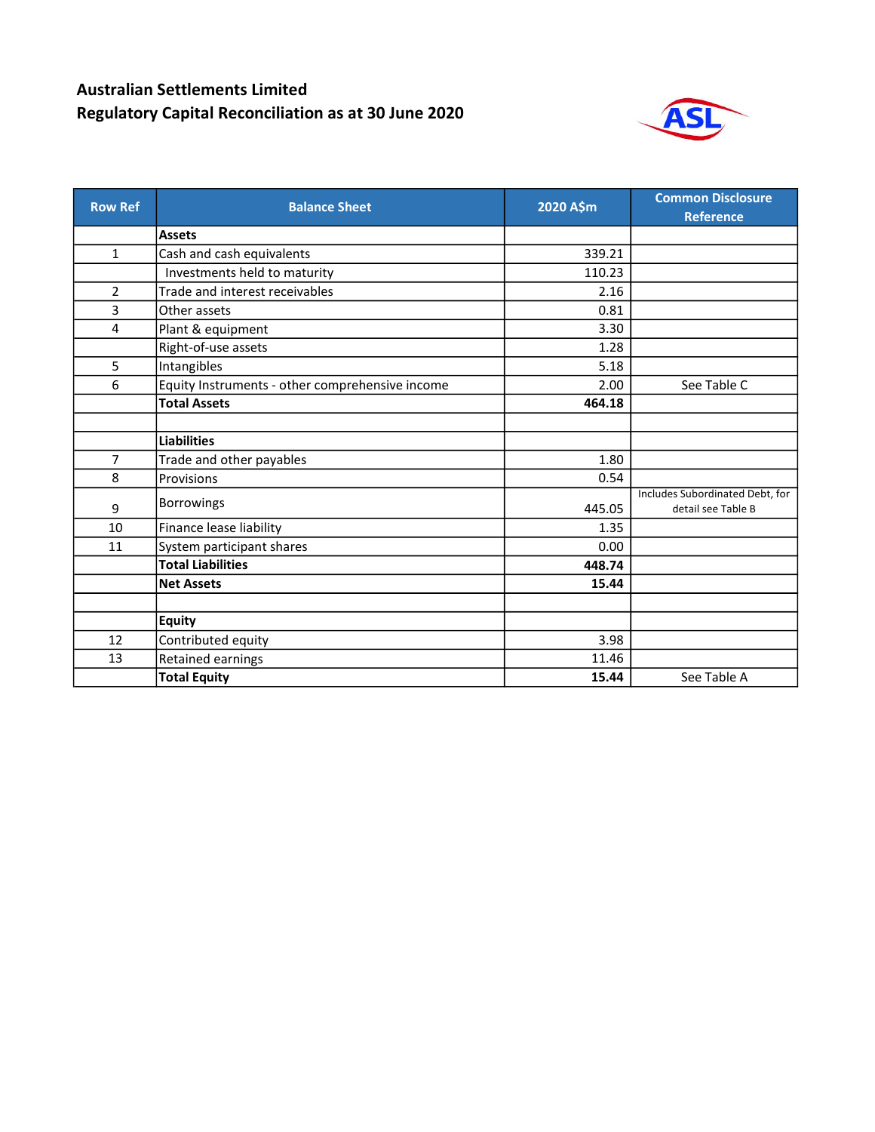## Australian Settlements Limited Regulatory Capital Reconciliation as at 30 June 2020



| <b>Row Ref</b> | <b>Balance Sheet</b>                            | 2020 A\$m | <b>Common Disclosure</b><br><b>Reference</b>          |
|----------------|-------------------------------------------------|-----------|-------------------------------------------------------|
|                | <b>Assets</b>                                   |           |                                                       |
| 1              | Cash and cash equivalents                       | 339.21    |                                                       |
|                | Investments held to maturity                    | 110.23    |                                                       |
| $\overline{2}$ | Trade and interest receivables                  | 2.16      |                                                       |
| 3              | Other assets                                    | 0.81      |                                                       |
| 4              | Plant & equipment                               | 3.30      |                                                       |
|                | Right-of-use assets                             | 1.28      |                                                       |
| 5              | Intangibles                                     | 5.18      |                                                       |
| 6              | Equity Instruments - other comprehensive income | 2.00      | See Table C                                           |
|                | <b>Total Assets</b>                             | 464.18    |                                                       |
|                |                                                 |           |                                                       |
|                | <b>Liabilities</b>                              |           |                                                       |
| $\overline{7}$ | Trade and other payables                        | 1.80      |                                                       |
| 8              | Provisions                                      | 0.54      |                                                       |
| 9              | <b>Borrowings</b>                               | 445.05    | Includes Subordinated Debt, for<br>detail see Table B |
| 10             | Finance lease liability                         | 1.35      |                                                       |
| 11             | System participant shares                       | 0.00      |                                                       |
|                | <b>Total Liabilities</b>                        | 448.74    |                                                       |
|                | <b>Net Assets</b>                               | 15.44     |                                                       |
|                |                                                 |           |                                                       |
|                | <b>Equity</b>                                   |           |                                                       |
| 12             | Contributed equity                              | 3.98      |                                                       |
| 13             | Retained earnings                               | 11.46     |                                                       |
|                | <b>Total Equity</b>                             | 15.44     | See Table A                                           |